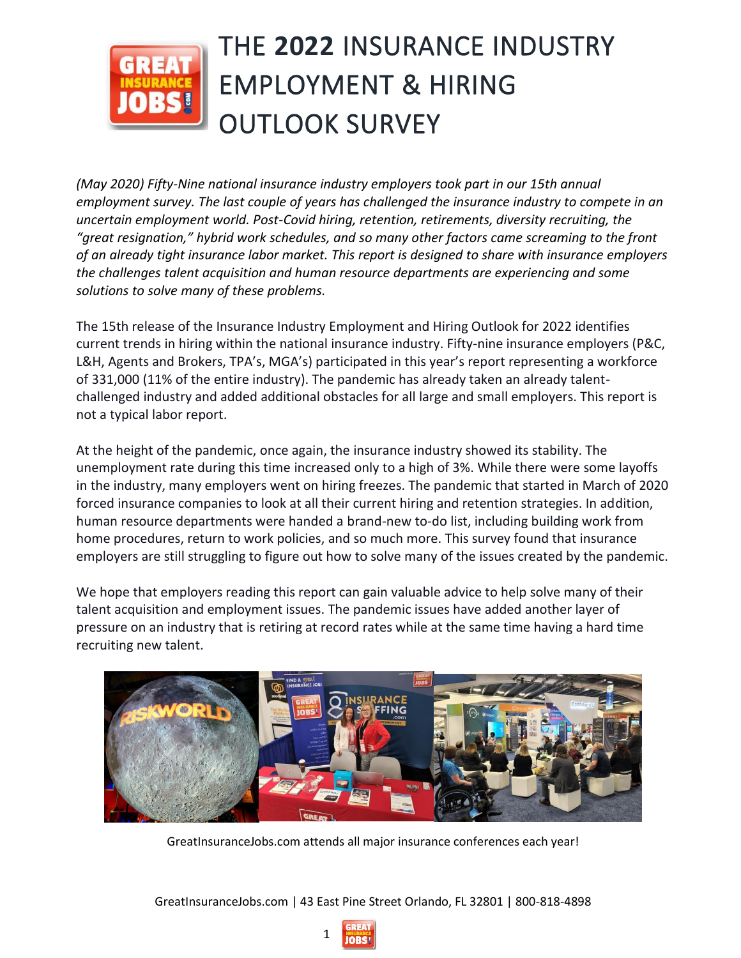

# THE **2022** INSURANCE INDUSTRY EMPLOYMENT & HIRING OUTLOOK SURVEY

*(May 2020) Fifty-Nine national insurance industry employers took part in our 15th annual employment survey. The last couple of years has challenged the insurance industry to compete in an uncertain employment world. Post-Covid hiring, retention, retirements, diversity recruiting, the "great resignation," hybrid work schedules, and so many other factors came screaming to the front of an already tight insurance labor market. This report is designed to share with insurance employers the challenges talent acquisition and human resource departments are experiencing and some solutions to solve many of these problems.*

The 15th release of the Insurance Industry Employment and Hiring Outlook for 2022 identifies current trends in hiring within the national insurance industry. Fifty-nine insurance employers (P&C, L&H, Agents and Brokers, TPA's, MGA's) participated in this year's report representing a workforce of 331,000 (11% of the entire industry). The pandemic has already taken an already talentchallenged industry and added additional obstacles for all large and small employers. This report is not a typical labor report.

At the height of the pandemic, once again, the insurance industry showed its stability. The unemployment rate during this time increased only to a high of 3%. While there were some layoffs in the industry, many employers went on hiring freezes. The pandemic that started in March of 2020 forced insurance companies to look at all their current hiring and retention strategies. In addition, human resource departments were handed a brand-new to-do list, including building work from home procedures, return to work policies, and so much more. This survey found that insurance employers are still struggling to figure out how to solve many of the issues created by the pandemic.

We hope that employers reading this report can gain valuable advice to help solve many of their talent acquisition and employment issues. The pandemic issues have added another layer of pressure on an industry that is retiring at record rates while at the same time having a hard time recruiting new talent.



GreatInsuranceJobs.com attends all major insurance conferences each year!

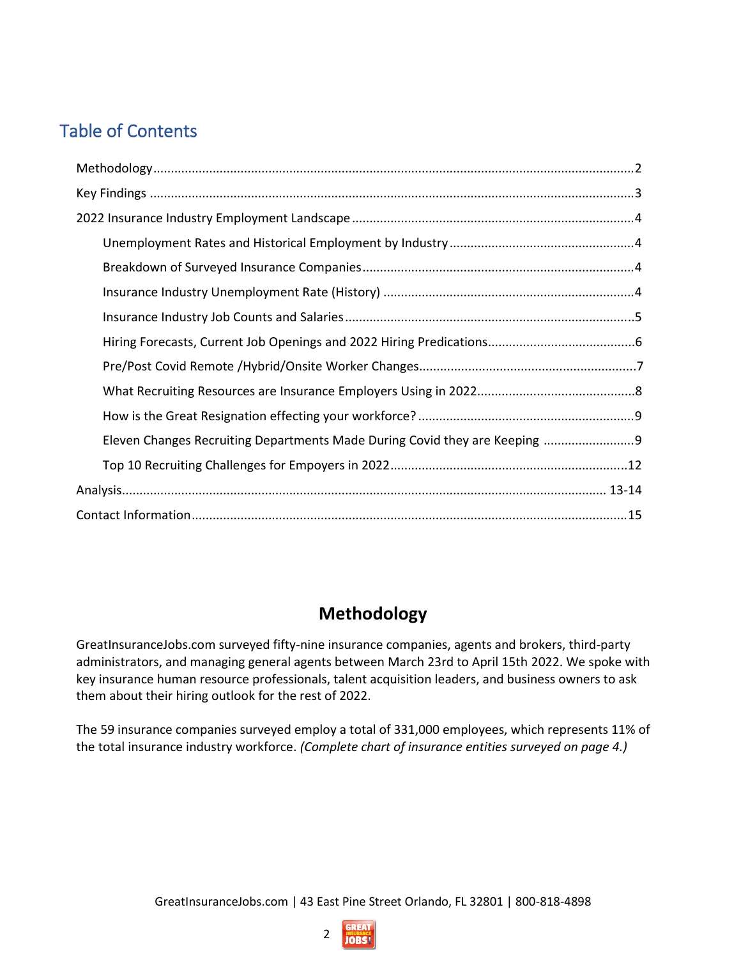# Table of Contents

| Eleven Changes Recruiting Departments Made During Covid they are Keeping  9 |
|-----------------------------------------------------------------------------|
|                                                                             |
|                                                                             |
|                                                                             |

# **Methodology**

GreatInsuranceJobs.com surveyed fifty-nine insurance companies, agents and brokers, third-party administrators, and managing general agents between March 23rd to April 15th 2022. We spoke with key insurance human resource professionals, talent acquisition leaders, and business owners to ask them about their hiring outlook for the rest of 2022.

The 59 insurance companies surveyed employ a total of 331,000 employees, which represents 11% of the total insurance industry workforce. *(Complete chart of insurance entities surveyed on page 4.)*

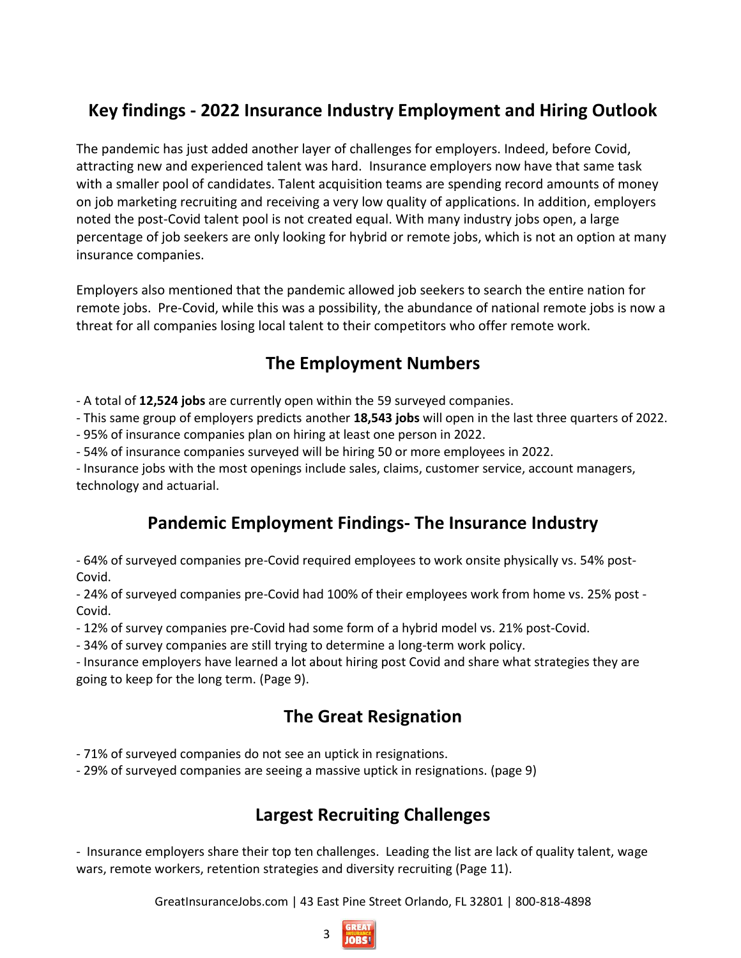# **Key findings - 2022 Insurance Industry Employment and Hiring Outlook**

The pandemic has just added another layer of challenges for employers. Indeed, before Covid, attracting new and experienced talent was hard. Insurance employers now have that same task with a smaller pool of candidates. Talent acquisition teams are spending record amounts of money on job marketing recruiting and receiving a very low quality of applications. In addition, employers noted the post-Covid talent pool is not created equal. With many industry jobs open, a large percentage of job seekers are only looking for hybrid or remote jobs, which is not an option at many insurance companies.

Employers also mentioned that the pandemic allowed job seekers to search the entire nation for remote jobs. Pre-Covid, while this was a possibility, the abundance of national remote jobs is now a threat for all companies losing local talent to their competitors who offer remote work.

# **The Employment Numbers**

- A total of **12,524 jobs** are currently open within the 59 surveyed companies.

- This same group of employers predicts another **18,543 jobs** will open in the last three quarters of 2022.

- 95% of insurance companies plan on hiring at least one person in 2022.

- 54% of insurance companies surveyed will be hiring 50 or more employees in 2022.

- Insurance jobs with the most openings include sales, claims, customer service, account managers, technology and actuarial.

# **Pandemic Employment Findings- The Insurance Industry**

- 64% of surveyed companies pre-Covid required employees to work onsite physically vs. 54% post-Covid.

- 24% of surveyed companies pre-Covid had 100% of their employees work from home vs. 25% post - Covid.

- 12% of survey companies pre-Covid had some form of a hybrid model vs. 21% post-Covid.

- 34% of survey companies are still trying to determine a long-term work policy.

- Insurance employers have learned a lot about hiring post Covid and share what strategies they are going to keep for the long term. (Page 9).

# **The Great Resignation**

- 71% of surveyed companies do not see an uptick in resignations.

- 29% of surveyed companies are seeing a massive uptick in resignations. (page 9)

# **Largest Recruiting Challenges**

- Insurance employers share their top ten challenges. Leading the list are lack of quality talent, wage wars, remote workers, retention strategies and diversity recruiting (Page 11).

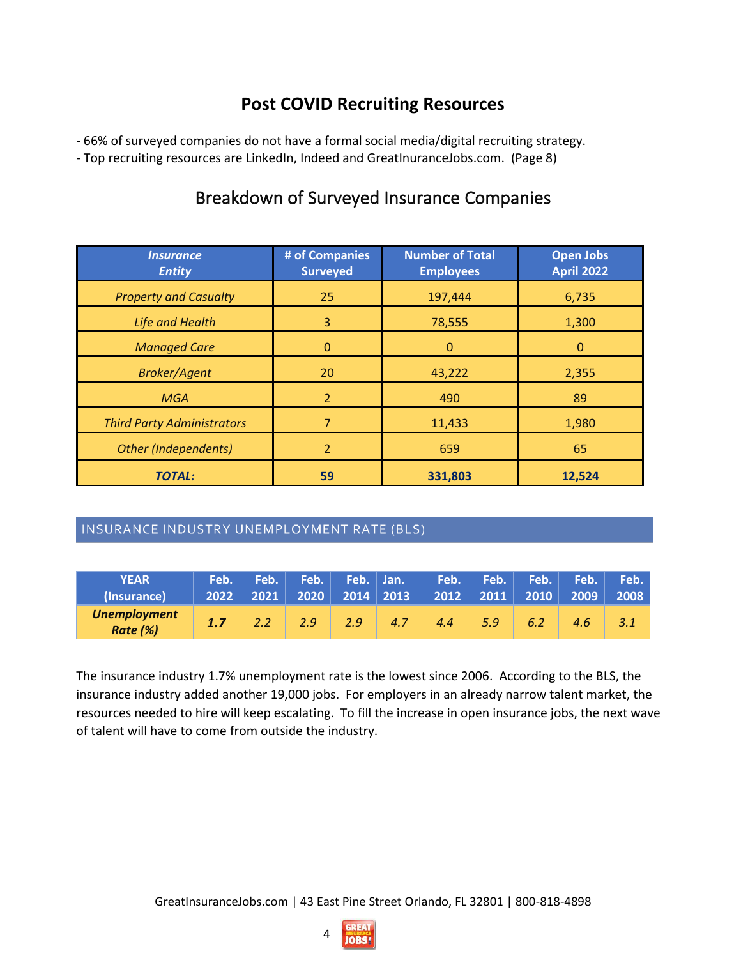## **Post COVID Recruiting Resources**

- 66% of surveyed companies do not have a formal social media/digital recruiting strategy.

- Top recruiting resources are LinkedIn, Indeed and GreatInuranceJobs.com. (Page 8)

# Breakdown of Surveyed Insurance Companies

| <i><b>Insurance</b></i><br><b>Entity</b> | # of Companies<br><b>Surveyed</b> | <b>Number of Total</b><br><b>Employees</b> | <b>Open Jobs</b><br><b>April 2022</b> |
|------------------------------------------|-----------------------------------|--------------------------------------------|---------------------------------------|
| <b>Property and Casualty</b>             | 25                                | 197,444                                    | 6,735                                 |
| <b>Life and Health</b>                   | 3                                 | 78,555                                     | 1,300                                 |
| <b>Managed Care</b>                      | 0                                 | $\Omega$                                   | $\mathbf 0$                           |
| <b>Broker/Agent</b>                      | 20                                | 43,222                                     | 2,355                                 |
| <b>MGA</b>                               | $\overline{2}$                    | 490                                        | 89                                    |
| <b>Third Party Administrators</b>        | 7                                 | 11,433                                     | 1,980                                 |
| <b>Other (Independents)</b>              | $\overline{2}$                    | 659                                        | 65                                    |
| <b>TOTAL:</b>                            | 59                                | 331,803                                    | 12,524                                |

#### INSURANCE INDUSTRY UNEMPLOYMENT RATE (BLS)

| <b>YEAR</b><br>(Insurance)      |  |               |     |     | ' Feb.      Feb.       Feb.      Feb.     Jan.                   Feb.        Feb.        Feb.        Feb.       Feb.  <br>$\begin{array}{ c c c c c c c c c } \hline 2012 & 2011 & 2010 & 2009 \hline \end{array}$ |     |     |     | 2008 |
|---------------------------------|--|---------------|-----|-----|--------------------------------------------------------------------------------------------------------------------------------------------------------------------------------------------------------------------|-----|-----|-----|------|
| <b>Unemployment</b><br>Rate (%) |  | $2.9^{\circ}$ | 2.9 | 4.7 | 4.4                                                                                                                                                                                                                | 5.9 | 6.2 | 4.6 |      |

The insurance industry 1.7% unemployment rate is the lowest since 2006. According to the BLS, the insurance industry added another 19,000 jobs. For employers in an already narrow talent market, the resources needed to hire will keep escalating. To fill the increase in open insurance jobs, the next wave of talent will have to come from outside the industry.

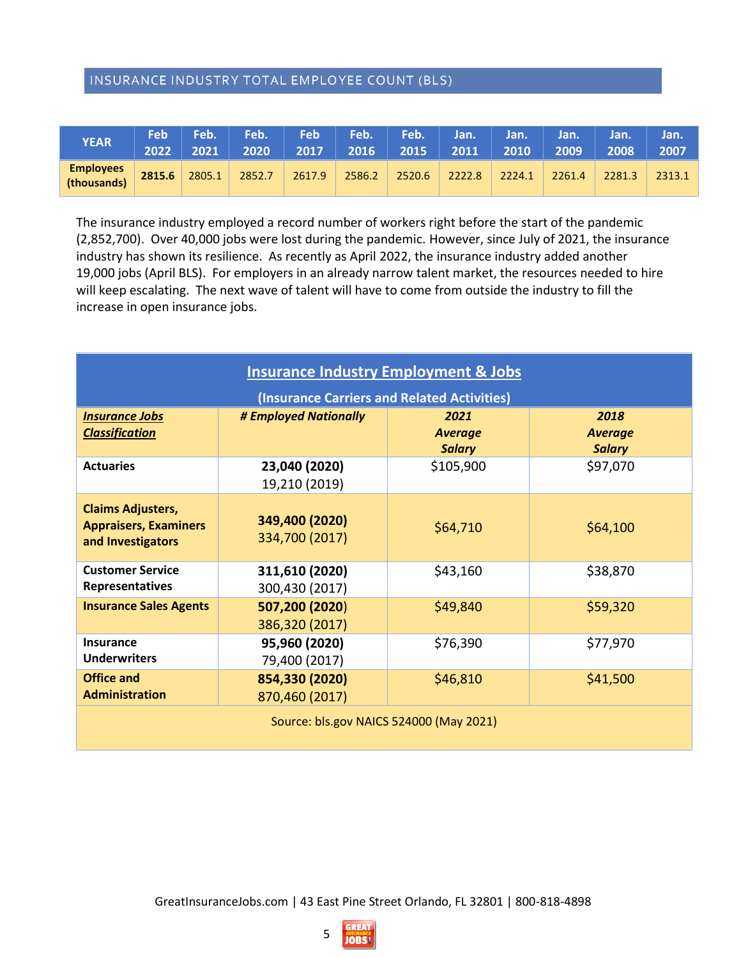#### INSURANCE INDUSTRY TOTAL EMPLOYEE COUNT (BLS)

| <b>YEAR</b>                     | <b>Feb</b><br>2022 | Feb.<br>2021 | Feb.  <br>2020 | <b>Feb</b><br>2017 |        | Feb. Feb. Jan. |        | Jan.   | Jan.   | Jan.<br>2008 | Jan.<br>2007 |
|---------------------------------|--------------------|--------------|----------------|--------------------|--------|----------------|--------|--------|--------|--------------|--------------|
| <b>Employees</b><br>(thousands) | 2815.6             | 2805.1       | 2852.7         | 2617.9             | 2586.2 | 2520.6         | 2222.8 | 2224.1 | 2261.4 | 2281.3       | 2313.1       |

The insurance industry employed a record number of workers right before the start of the pandemic (2,852,700). Over 40,000 jobs were lost during the pandemic. However, since July of 2021, the insurance industry has shown its resilience. As recently as April 2022, the insurance industry added another 19,000 jobs (April BLS). For employers in an already narrow talent market, the resources needed to hire will keep escalating. The next wave of talent will have to come from outside the industry to fill the increase in open insurance jobs.

| <b>Insurance Industry Employment &amp; Jobs</b>                               |                                  |                                         |                                         |  |  |  |  |  |  |  |
|-------------------------------------------------------------------------------|----------------------------------|-----------------------------------------|-----------------------------------------|--|--|--|--|--|--|--|
| (Insurance Carriers and Related Activities)                                   |                                  |                                         |                                         |  |  |  |  |  |  |  |
| <b>Insurance Jobs</b><br><b>Classification</b>                                | # Employed Nationally            | 2021<br><b>Average</b><br><b>Salary</b> | 2018<br><b>Average</b><br><b>Salary</b> |  |  |  |  |  |  |  |
| <b>Actuaries</b>                                                              | 23,040 (2020)<br>19,210 (2019)   | \$105,900                               | \$97,070                                |  |  |  |  |  |  |  |
| <b>Claims Adjusters,</b><br><b>Appraisers, Examiners</b><br>and Investigators | 349,400 (2020)<br>334,700 (2017) | \$64,710                                | \$64,100                                |  |  |  |  |  |  |  |
| <b>Customer Service</b><br>Representatives                                    | 311,610 (2020)<br>300,430 (2017) | \$43,160                                | \$38,870                                |  |  |  |  |  |  |  |
| <b>Insurance Sales Agents</b>                                                 | 507,200 (2020)<br>386,320 (2017) | \$49,840                                | \$59,320                                |  |  |  |  |  |  |  |
| Insurance<br><b>Underwriters</b>                                              | 95,960 (2020)<br>79,400 (2017)   | \$76,390                                | \$77,970                                |  |  |  |  |  |  |  |
| <b>Office and</b><br><b>Administration</b>                                    | 854,330 (2020)<br>870,460 (2017) | \$46,810                                | \$41,500                                |  |  |  |  |  |  |  |
| Source: bls.gov NAICS 524000 (May 2021)                                       |                                  |                                         |                                         |  |  |  |  |  |  |  |

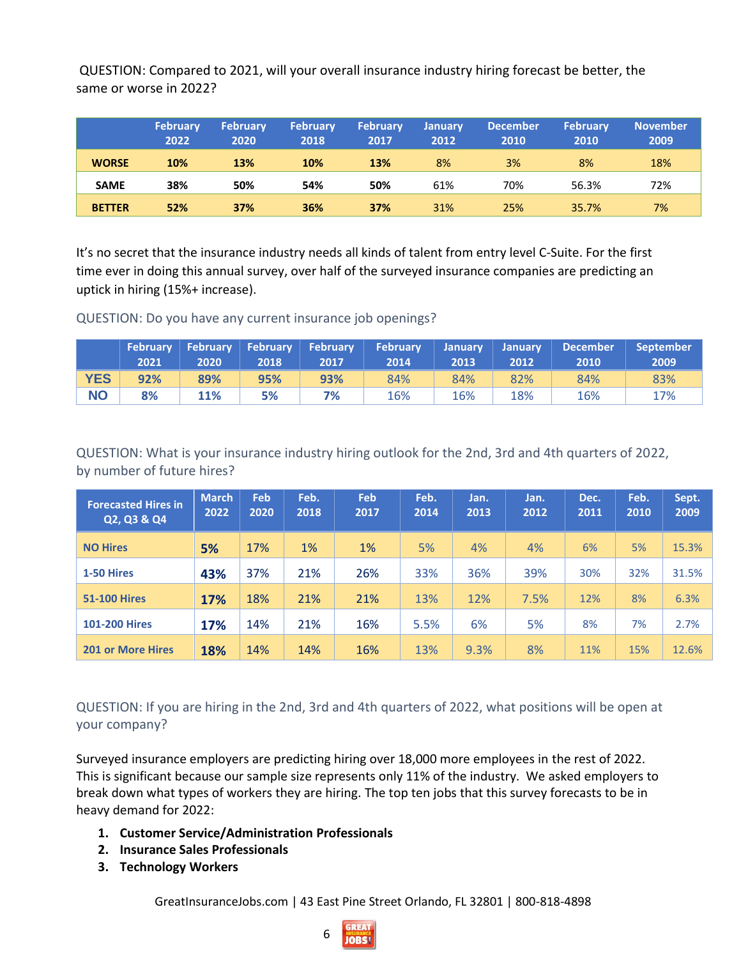QUESTION: Compared to 2021, will your overall insurance industry hiring forecast be better, the same or worse in 2022?

|               | <b>February</b><br>2022 | <b>February</b><br>2020 | <b>February</b><br>2018 | <b>February</b><br>2017 | <b>January</b><br>2012 | <b>December</b><br>2010 | <b>February</b><br>2010 | <b>November</b><br>2009 |
|---------------|-------------------------|-------------------------|-------------------------|-------------------------|------------------------|-------------------------|-------------------------|-------------------------|
| <b>WORSE</b>  | 10%                     | 13%                     | 10%                     | 13%                     | 8%                     | 3%                      | 8%                      | 18%                     |
| <b>SAME</b>   | 38%                     | 50%                     | 54%                     | 50%                     | 61%                    | 70%                     | 56.3%                   | 72%                     |
| <b>BETTER</b> | 52%                     | 37%                     | 36%                     | 37%                     | 31%                    | 25%                     | 35.7%                   | 7%                      |

It's no secret that the insurance industry needs all kinds of talent from entry level C-Suite. For the first time ever in doing this annual survey, over half of the surveyed insurance companies are predicting an uptick in hiring (15%+ increase).

QUESTION: Do you have any current insurance job openings?

|            | 2021 | 2020' | 2018 | 2017 | February   February   February   February   February   January   January<br>2014 | 2013' | 2012 | December<br>2010 | <b>September</b><br>2009 |
|------------|------|-------|------|------|----------------------------------------------------------------------------------|-------|------|------------------|--------------------------|
| <b>YES</b> | 92%  | 89%   | 95%  | 93%  | 84%                                                                              | 84%   | 82%  | 84%              | 83%                      |
| <b>NO</b>  | 8%   | 11%   | 5%   | 7%   | 16%                                                                              | 16%   | 18%  | 16%              | 17%                      |

QUESTION: What is your insurance industry hiring outlook for the 2nd, 3rd and 4th quarters of 2022, by number of future hires?

| <b>Forecasted Hires in</b><br>Q2, Q3 & Q4 | <b>March</b><br>2022 | Feb<br>2020 | Feb.<br>2018 | Feb<br>2017 | Feb.<br>2014 | Jan.<br>2013 | Jan.<br>2012 | Dec.<br>2011 | Feb.<br>2010 | Sept.<br>2009 |
|-------------------------------------------|----------------------|-------------|--------------|-------------|--------------|--------------|--------------|--------------|--------------|---------------|
| <b>NO Hires</b>                           | 5%                   | 17%         | $1\%$        | $1\%$       | 5%           | 4%           | 4%           | 6%           | 5%           | 15.3%         |
| 1-50 Hires                                | 43%                  | 37%         | 21%          | 26%         | 33%          | 36%          | 39%          | 30%          | 32%          | 31.5%         |
| <b>51-100 Hires</b>                       | 17%                  | 18%         | 21%          | 21%         | 13%          | 12%          | 7.5%         | 12%          | 8%           | 6.3%          |
| <b>101-200 Hires</b>                      | 17%                  | 14%         | 21%          | 16%         | 5.5%         | 6%           | 5%           | 8%           | 7%           | 2.7%          |
| <b>201 or More Hires</b>                  | 18%                  | 14%         | 14%          | 16%         | 13%          | 9.3%         | 8%           | 11%          | 15%          | 12.6%         |

QUESTION: If you are hiring in the 2nd, 3rd and 4th quarters of 2022, what positions will be open at your company?

Surveyed insurance employers are predicting hiring over 18,000 more employees in the rest of 2022. This is significant because our sample size represents only 11% of the industry. We asked employers to break down what types of workers they are hiring. The top ten jobs that this survey forecasts to be in heavy demand for 2022:

- **1. Customer Service/Administration Professionals**
- **2. Insurance Sales Professionals**
- **3. Technology Workers**

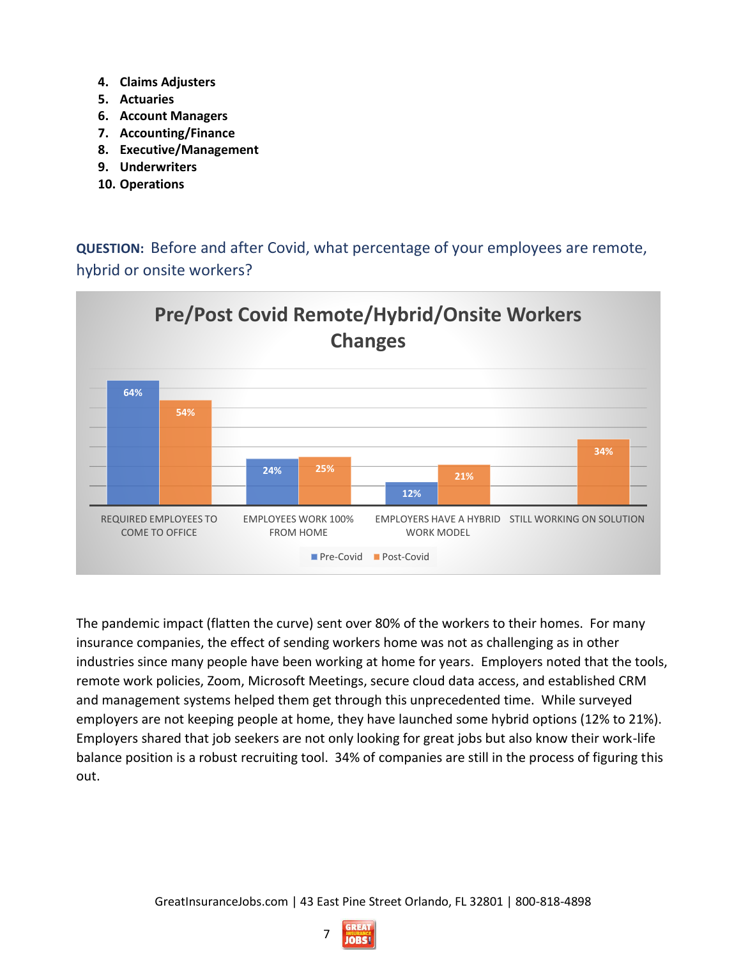- **4. Claims Adjusters**
- **5. Actuaries**
- **6. Account Managers**
- **7. Accounting/Finance**
- **8. Executive/Management**
- **9. Underwriters**
- **10. Operations**

**QUESTION:** Before and after Covid, what percentage of your employees are remote, hybrid or onsite workers?



The pandemic impact (flatten the curve) sent over 80% of the workers to their homes. For many insurance companies, the effect of sending workers home was not as challenging as in other industries since many people have been working at home for years. Employers noted that the tools, remote work policies, Zoom, Microsoft Meetings, secure cloud data access, and established CRM and management systems helped them get through this unprecedented time. While surveyed employers are not keeping people at home, they have launched some hybrid options (12% to 21%). Employers shared that job seekers are not only looking for great jobs but also know their work-life balance position is a robust recruiting tool. 34% of companies are still in the process of figuring this out.

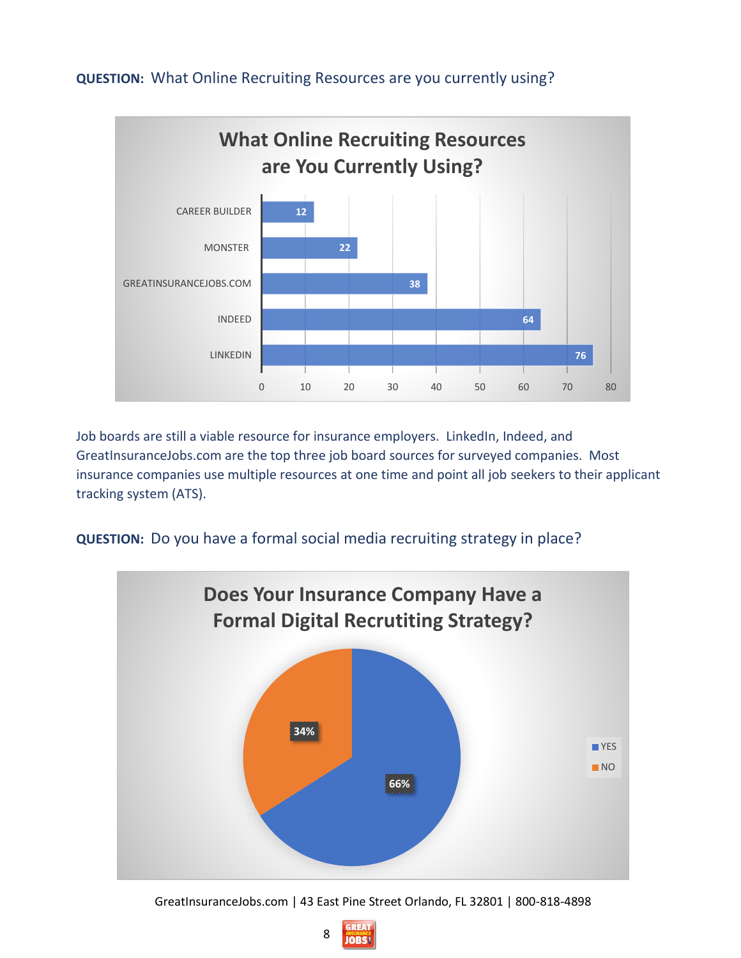

#### **QUESTION:** What Online Recruiting Resources are you currently using?

Job boards are still a viable resource for insurance employers. LinkedIn, Indeed, and GreatInsuranceJobs.com are the top three job board sources for surveyed companies. Most insurance companies use multiple resources at one time and point all job seekers to their applicant tracking system (ATS).

**QUESTION:** Do you have a formal social media recruiting strategy in place?



GreatInsuranceJobs.com | 43 East Pine Street Orlando, FL 32801 | 800-818-4898

8 **JOBS!**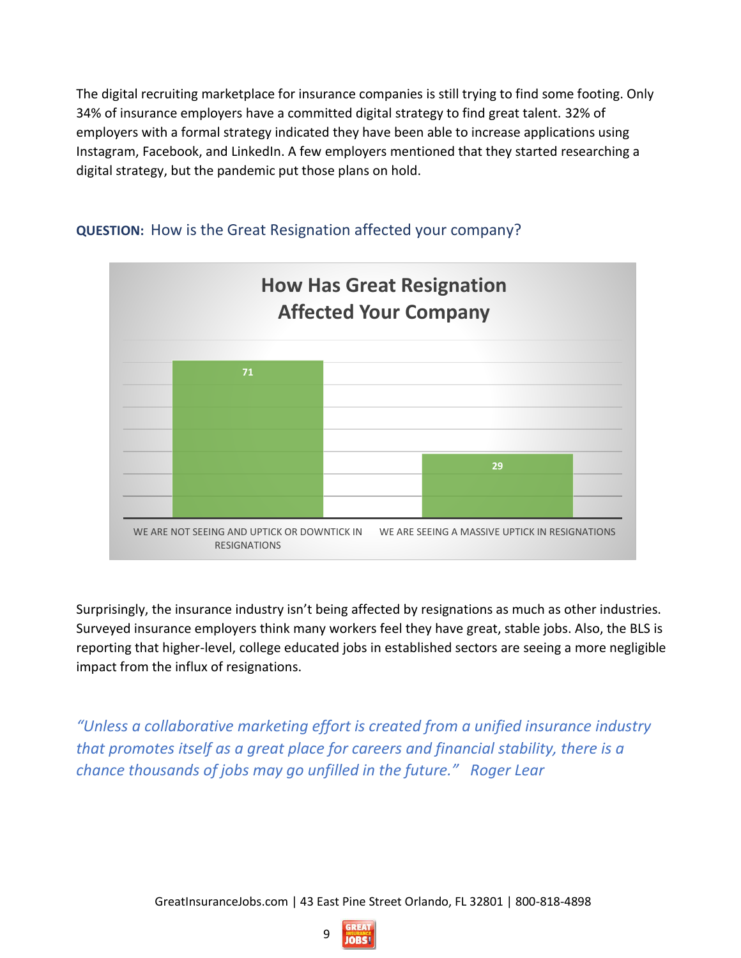The digital recruiting marketplace for insurance companies is still trying to find some footing. Only 34% of insurance employers have a committed digital strategy to find great talent. 32% of employers with a formal strategy indicated they have been able to increase applications using Instagram, Facebook, and LinkedIn. A few employers mentioned that they started researching a digital strategy, but the pandemic put those plans on hold.



#### **QUESTION:** How is the Great Resignation affected your company?

Surprisingly, the insurance industry isn't being affected by resignations as much as other industries. Surveyed insurance employers think many workers feel they have great, stable jobs. Also, the BLS is reporting that higher-level, college educated jobs in established sectors are seeing a more negligible impact from the influx of resignations.

*"Unless a collaborative marketing effort is created from a unified insurance industry that promotes itself as a great place for careers and financial stability, there is a chance thousands of jobs may go unfilled in the future." Roger Lear*

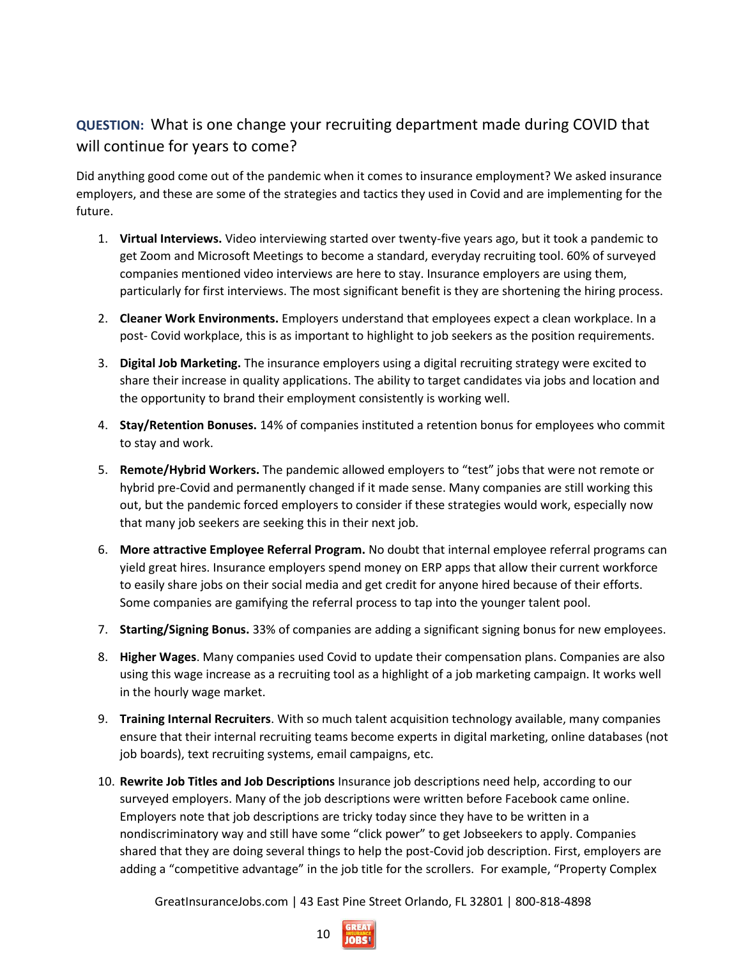### **QUESTION:** What is one change your recruiting department made during COVID that will continue for years to come?

Did anything good come out of the pandemic when it comes to insurance employment? We asked insurance employers, and these are some of the strategies and tactics they used in Covid and are implementing for the future.

- 1. **Virtual Interviews.** Video interviewing started over twenty-five years ago, but it took a pandemic to get Zoom and Microsoft Meetings to become a standard, everyday recruiting tool. 60% of surveyed companies mentioned video interviews are here to stay. Insurance employers are using them, particularly for first interviews. The most significant benefit is they are shortening the hiring process.
- 2. **Cleaner Work Environments.** Employers understand that employees expect a clean workplace. In a post- Covid workplace, this is as important to highlight to job seekers as the position requirements.
- 3. **Digital Job Marketing.** The insurance employers using a digital recruiting strategy were excited to share their increase in quality applications. The ability to target candidates via jobs and location and the opportunity to brand their employment consistently is working well.
- 4. **Stay/Retention Bonuses.** 14% of companies instituted a retention bonus for employees who commit to stay and work.
- 5. **Remote/Hybrid Workers.** The pandemic allowed employers to "test" jobs that were not remote or hybrid pre-Covid and permanently changed if it made sense. Many companies are still working this out, but the pandemic forced employers to consider if these strategies would work, especially now that many job seekers are seeking this in their next job.
- 6. **More attractive Employee Referral Program.** No doubt that internal employee referral programs can yield great hires. Insurance employers spend money on ERP apps that allow their current workforce to easily share jobs on their social media and get credit for anyone hired because of their efforts. Some companies are gamifying the referral process to tap into the younger talent pool.
- 7. **Starting/Signing Bonus.** 33% of companies are adding a significant signing bonus for new employees.
- 8. **Higher Wages**. Many companies used Covid to update their compensation plans. Companies are also using this wage increase as a recruiting tool as a highlight of a job marketing campaign. It works well in the hourly wage market.
- 9. **Training Internal Recruiters**. With so much talent acquisition technology available, many companies ensure that their internal recruiting teams become experts in digital marketing, online databases (not job boards), text recruiting systems, email campaigns, etc.
- 10. **Rewrite Job Titles and Job Descriptions** Insurance job descriptions need help, according to our surveyed employers. Many of the job descriptions were written before Facebook came online. Employers note that job descriptions are tricky today since they have to be written in a nondiscriminatory way and still have some "click power" to get Jobseekers to apply. Companies shared that they are doing several things to help the post-Covid job description. First, employers are adding a "competitive advantage" in the job title for the scrollers. For example, "Property Complex

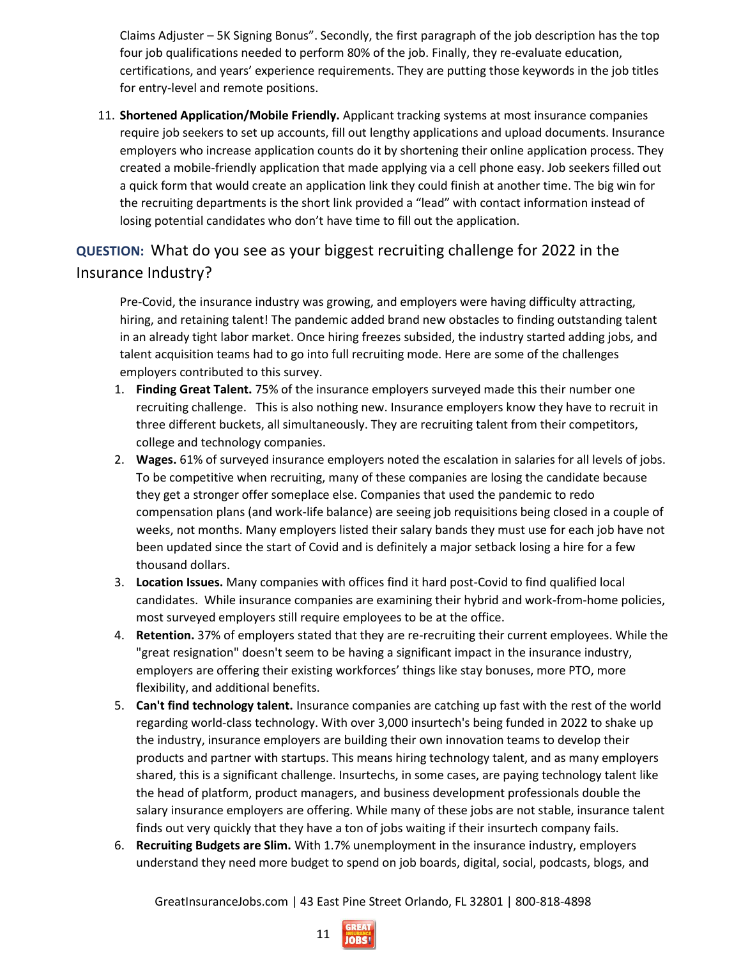Claims Adjuster – 5K Signing Bonus". Secondly, the first paragraph of the job description has the top four job qualifications needed to perform 80% of the job. Finally, they re-evaluate education, certifications, and years' experience requirements. They are putting those keywords in the job titles for entry-level and remote positions.

11. **Shortened Application/Mobile Friendly.** Applicant tracking systems at most insurance companies require job seekers to set up accounts, fill out lengthy applications and upload documents. Insurance employers who increase application counts do it by shortening their online application process. They created a mobile-friendly application that made applying via a cell phone easy. Job seekers filled out a quick form that would create an application link they could finish at another time. The big win for the recruiting departments is the short link provided a "lead" with contact information instead of losing potential candidates who don't have time to fill out the application.

### **QUESTION:** What do you see as your biggest recruiting challenge for 2022 in the Insurance Industry?

Pre-Covid, the insurance industry was growing, and employers were having difficulty attracting, hiring, and retaining talent! The pandemic added brand new obstacles to finding outstanding talent in an already tight labor market. Once hiring freezes subsided, the industry started adding jobs, and talent acquisition teams had to go into full recruiting mode. Here are some of the challenges employers contributed to this survey.

- 1. **Finding Great Talent.** 75% of the insurance employers surveyed made this their number one recruiting challenge. This is also nothing new. Insurance employers know they have to recruit in three different buckets, all simultaneously. They are recruiting talent from their competitors, college and technology companies.
- 2. **Wages.** 61% of surveyed insurance employers noted the escalation in salaries for all levels of jobs. To be competitive when recruiting, many of these companies are losing the candidate because they get a stronger offer someplace else. Companies that used the pandemic to redo compensation plans (and work-life balance) are seeing job requisitions being closed in a couple of weeks, not months. Many employers listed their salary bands they must use for each job have not been updated since the start of Covid and is definitely a major setback losing a hire for a few thousand dollars.
- 3. **Location Issues.** Many companies with offices find it hard post-Covid to find qualified local candidates. While insurance companies are examining their hybrid and work-from-home policies, most surveyed employers still require employees to be at the office.
- 4. **Retention.** 37% of employers stated that they are re-recruiting their current employees. While the "great resignation" doesn't seem to be having a significant impact in the insurance industry, employers are offering their existing workforces' things like stay bonuses, more PTO, more flexibility, and additional benefits.
- 5. **Can't find technology talent.** Insurance companies are catching up fast with the rest of the world regarding world-class technology. With over 3,000 insurtech's being funded in 2022 to shake up the industry, insurance employers are building their own innovation teams to develop their products and partner with startups. This means hiring technology talent, and as many employers shared, this is a significant challenge. Insurtechs, in some cases, are paying technology talent like the head of platform, product managers, and business development professionals double the salary insurance employers are offering. While many of these jobs are not stable, insurance talent finds out very quickly that they have a ton of jobs waiting if their insurtech company fails.
- 6. **Recruiting Budgets are Slim.** With 1.7% unemployment in the insurance industry, employers understand they need more budget to spend on job boards, digital, social, podcasts, blogs, and

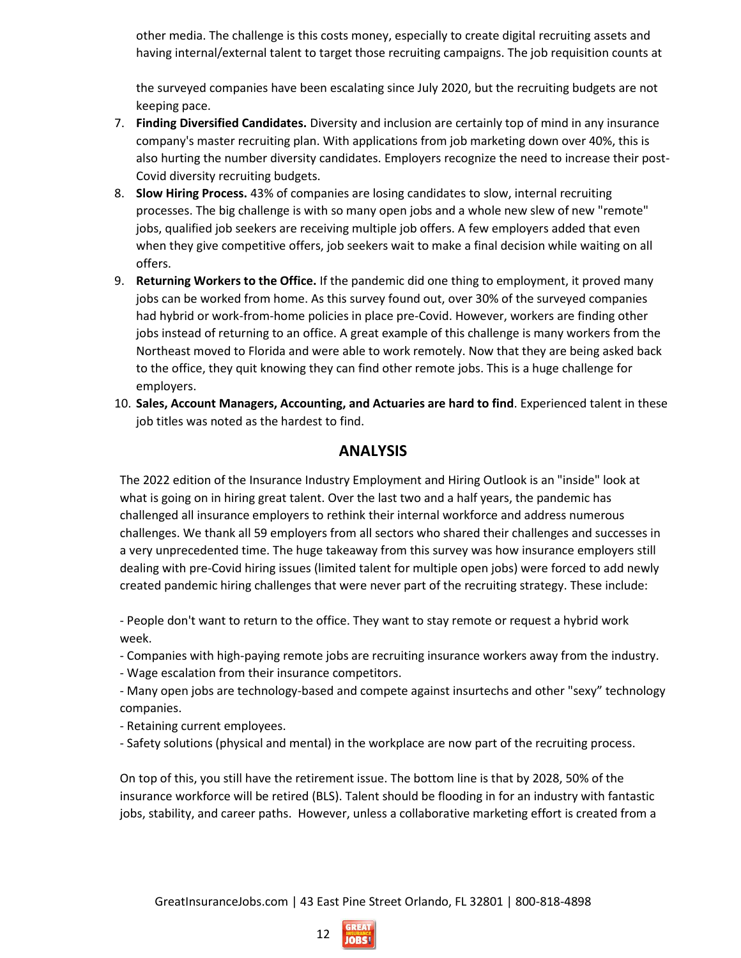other media. The challenge is this costs money, especially to create digital recruiting assets and having internal/external talent to target those recruiting campaigns. The job requisition counts at

the surveyed companies have been escalating since July 2020, but the recruiting budgets are not keeping pace.

- 7. **Finding Diversified Candidates.** Diversity and inclusion are certainly top of mind in any insurance company's master recruiting plan. With applications from job marketing down over 40%, this is also hurting the number diversity candidates. Employers recognize the need to increase their post-Covid diversity recruiting budgets.
- 8. **Slow Hiring Process.** 43% of companies are losing candidates to slow, internal recruiting processes. The big challenge is with so many open jobs and a whole new slew of new "remote" jobs, qualified job seekers are receiving multiple job offers. A few employers added that even when they give competitive offers, job seekers wait to make a final decision while waiting on all offers.
- 9. **Returning Workers to the Office.** If the pandemic did one thing to employment, it proved many jobs can be worked from home. As this survey found out, over 30% of the surveyed companies had hybrid or work-from-home policies in place pre-Covid. However, workers are finding other jobs instead of returning to an office. A great example of this challenge is many workers from the Northeast moved to Florida and were able to work remotely. Now that they are being asked back to the office, they quit knowing they can find other remote jobs. This is a huge challenge for employers.
- 10. **Sales, Account Managers, Accounting, and Actuaries are hard to find**. Experienced talent in these job titles was noted as the hardest to find.

#### **ANALYSIS**

The 2022 edition of the Insurance Industry Employment and Hiring Outlook is an "inside" look at what is going on in hiring great talent. Over the last two and a half years, the pandemic has challenged all insurance employers to rethink their internal workforce and address numerous challenges. We thank all 59 employers from all sectors who shared their challenges and successes in a very unprecedented time. The huge takeaway from this survey was how insurance employers still dealing with pre-Covid hiring issues (limited talent for multiple open jobs) were forced to add newly created pandemic hiring challenges that were never part of the recruiting strategy. These include:

- People don't want to return to the office. They want to stay remote or request a hybrid work week.

- Companies with high-paying remote jobs are recruiting insurance workers away from the industry.
- Wage escalation from their insurance competitors.

- Many open jobs are technology-based and compete against insurtechs and other "sexy" technology companies.

- Retaining current employees.
- Safety solutions (physical and mental) in the workplace are now part of the recruiting process.

On top of this, you still have the retirement issue. The bottom line is that by 2028, 50% of the insurance workforce will be retired (BLS). Talent should be flooding in for an industry with fantastic jobs, stability, and career paths. However, unless a collaborative marketing effort is created from a

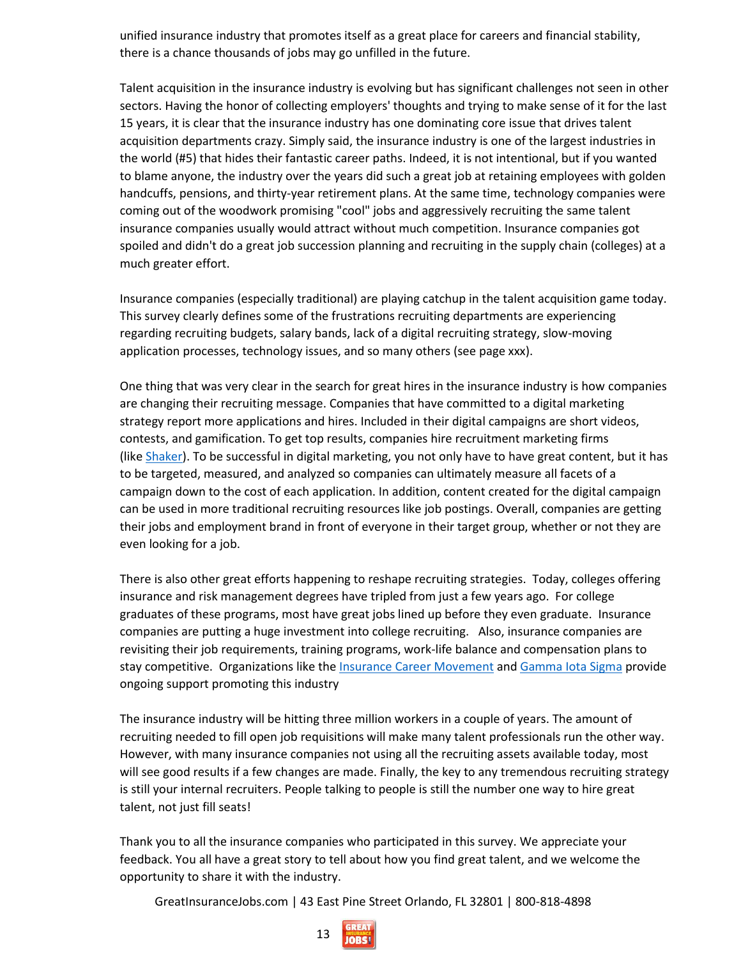unified insurance industry that promotes itself as a great place for careers and financial stability, there is a chance thousands of jobs may go unfilled in the future.

Talent acquisition in the insurance industry is evolving but has significant challenges not seen in other sectors. Having the honor of collecting employers' thoughts and trying to make sense of it for the last 15 years, it is clear that the insurance industry has one dominating core issue that drives talent acquisition departments crazy. Simply said, the insurance industry is one of the largest industries in the world (#5) that hides their fantastic career paths. Indeed, it is not intentional, but if you wanted to blame anyone, the industry over the years did such a great job at retaining employees with golden handcuffs, pensions, and thirty-year retirement plans. At the same time, technology companies were coming out of the woodwork promising "cool" jobs and aggressively recruiting the same talent insurance companies usually would attract without much competition. Insurance companies got spoiled and didn't do a great job succession planning and recruiting in the supply chain (colleges) at a much greater effort.

Insurance companies (especially traditional) are playing catchup in the talent acquisition game today. This survey clearly defines some of the frustrations recruiting departments are experiencing regarding recruiting budgets, salary bands, lack of a digital recruiting strategy, slow-moving application processes, technology issues, and so many others (see page xxx).

One thing that was very clear in the search for great hires in the insurance industry is how companies are changing their recruiting message. Companies that have committed to a digital marketing strategy report more applications and hires. Included in their digital campaigns are short videos, contests, and gamification. To get top results, companies hire recruitment marketing firms (like [Shaker\)](https://shaker.com/). To be successful in digital marketing, you not only have to have great content, but it has to be targeted, measured, and analyzed so companies can ultimately measure all facets of a campaign down to the cost of each application. In addition, content created for the digital campaign can be used in more traditional recruiting resources like job postings. Overall, companies are getting their jobs and employment brand in front of everyone in their target group, whether or not they are even looking for a job.

There is also other great efforts happening to reshape recruiting strategies. Today, colleges offering insurance and risk management degrees have tripled from just a few years ago. For college graduates of these programs, most have great jobs lined up before they even graduate. Insurance companies are putting a huge investment into college recruiting. Also, insurance companies are revisiting their job requirements, training programs, work-life balance and compensation plans to stay competitive. Organizations like the [Insurance Career Movement](https://insurancecareerstrifecta.org/) and [Gamma Iota](https://www.gammaiotasigma.org/about) Sigma provide ongoing support promoting this industry

The insurance industry will be hitting three million workers in a couple of years. The amount of recruiting needed to fill open job requisitions will make many talent professionals run the other way. However, with many insurance companies not using all the recruiting assets available today, most will see good results if a few changes are made. Finally, the key to any tremendous recruiting strategy is still your internal recruiters. People talking to people is still the number one way to hire great talent, not just fill seats!

Thank you to all the insurance companies who participated in this survey. We appreciate your feedback. You all have a great story to tell about how you find great talent, and we welcome the opportunity to share it with the industry.